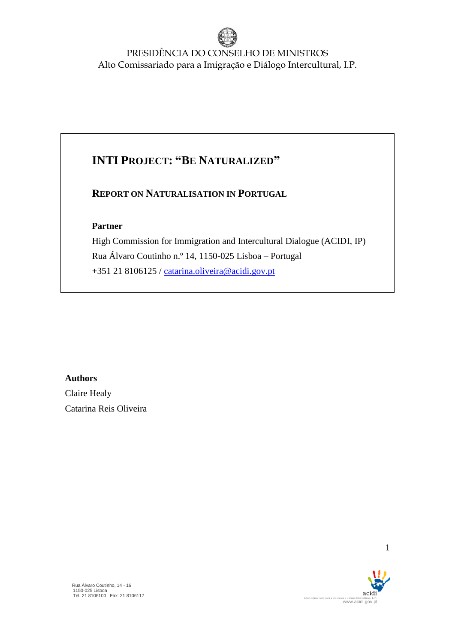## **INTI PROJECT: "BE NATURALIZED"**

### **REPORT ON NATURALISATION IN PORTUGAL**

### **Partner**

High Commission for Immigration and Intercultural Dialogue (ACIDI, IP) Rua Álvaro Coutinho n.º 14, 1150-025 Lisboa – Portugal +351 21 8106125 / [catarina.oliveira@acidi.gov.pt](mailto:catarina.oliveira@acidi.gov.pt)

### **Authors**

Claire Healy Catarina Reis Oliveira

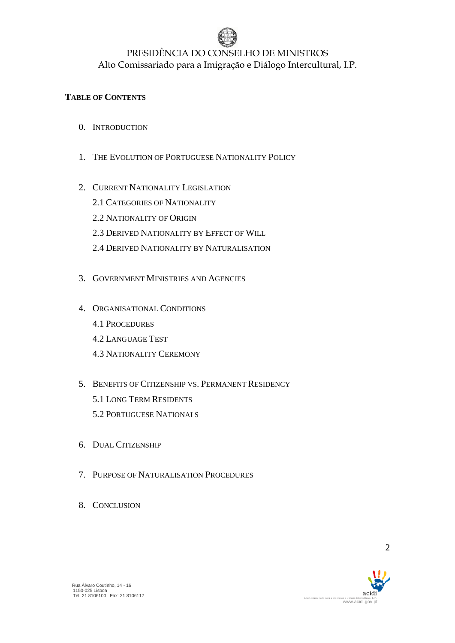

### **TABLE OF CONTENTS**

- 0. INTRODUCTION
- 1. THE EVOLUTION OF PORTUGUESE NATIONALITY POLICY
- 2. CURRENT NATIONALITY LEGISLATION
	- 2.1 CATEGORIES OF NATIONALITY
	- 2.2 NATIONALITY OF ORIGIN
	- 2.3 DERIVED NATIONALITY BY EFFECT OF WILL
	- 2.4 DERIVED NATIONALITY BY NATURALISATION
- 3. GOVERNMENT MINISTRIES AND AGENCIES
- 4. ORGANISATIONAL CONDITIONS
	- 4.1 PROCEDURES
	- 4.2 LANGUAGE TEST
	- 4.3 NATIONALITY CEREMONY
- 5. BENEFITS OF CITIZENSHIP VS. PERMANENT RESIDENCY 5.1 LONG TERM RESIDENTS
	- 5.2 PORTUGUESE NATIONALS
- 6. DUAL CITIZENSHIP
- 7. PURPOSE OF NATURALISATION PROCEDURES
- 8. CONCLUSION

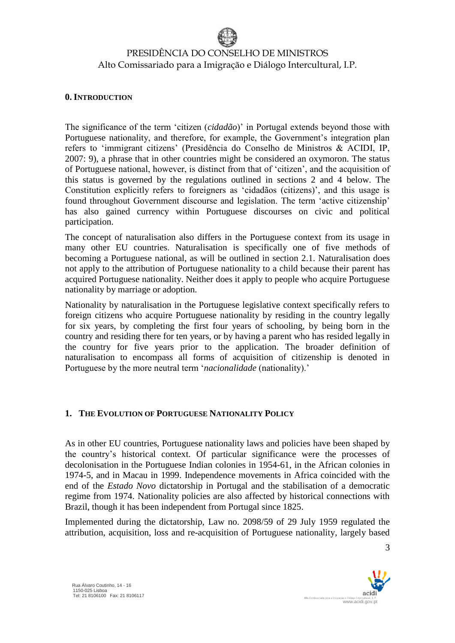#### **0. INTRODUCTION**

 Rua Álvaro Coutinho, 14 - 16 1150-025 Lisboa Tel: 21 8106100 Fax: 21 8106117

The significance of the term 'citizen (*cidadão*)' in Portugal extends beyond those with Portuguese nationality, and therefore, for example, the Government's integration plan refers to 'immigrant citizens' (Presidência do Conselho de Ministros & ACIDI, IP, 2007: 9), a phrase that in other countries might be considered an oxymoron. The status of Portuguese national, however, is distinct from that of 'citizen', and the acquisition of this status is governed by the regulations outlined in sections 2 and 4 below. The Constitution explicitly refers to foreigners as 'cidadãos (citizens)', and this usage is found throughout Government discourse and legislation. The term 'active citizenship' has also gained currency within Portuguese discourses on civic and political participation.

The concept of naturalisation also differs in the Portuguese context from its usage in many other EU countries. Naturalisation is specifically one of five methods of becoming a Portuguese national, as will be outlined in section 2.1. Naturalisation does not apply to the attribution of Portuguese nationality to a child because their parent has acquired Portuguese nationality. Neither does it apply to people who acquire Portuguese nationality by marriage or adoption.

Nationality by naturalisation in the Portuguese legislative context specifically refers to foreign citizens who acquire Portuguese nationality by residing in the country legally for six years, by completing the first four years of schooling, by being born in the country and residing there for ten years, or by having a parent who has resided legally in the country for five years prior to the application. The broader definition of naturalisation to encompass all forms of acquisition of citizenship is denoted in Portuguese by the more neutral term '*nacionalidade* (nationality).'

#### **1. THE EVOLUTION OF PORTUGUESE NATIONALITY POLICY**

As in other EU countries, Portuguese nationality laws and policies have been shaped by the country's historical context. Of particular significance were the processes of decolonisation in the Portuguese Indian colonies in 1954-61, in the African colonies in 1974-5, and in Macau in 1999. Independence movements in Africa coincided with the end of the *Estado Novo* dictatorship in Portugal and the stabilisation of a democratic regime from 1974. Nationality policies are also affected by historical connections with Brazil, though it has been independent from Portugal since 1825.

Implemented during the dictatorship, Law no. 2098/59 of 29 July 1959 regulated the attribution, acquisition, loss and re-acquisition of Portuguese nationality, largely based

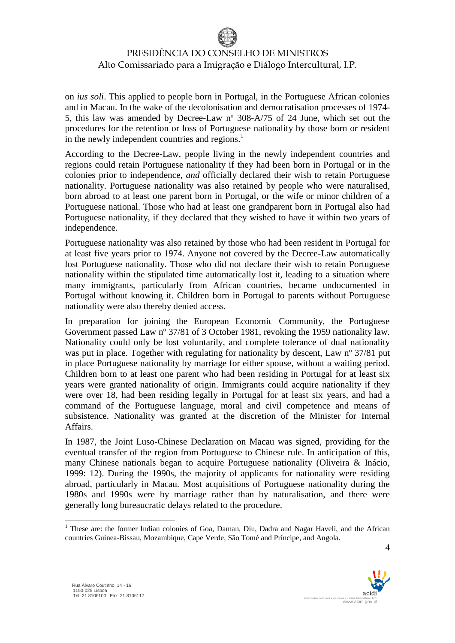on *ius soli*. This applied to people born in Portugal, in the Portuguese African colonies and in Macau. In the wake of the decolonisation and democratisation processes of 1974- 5, this law was amended by Decree-Law nº 308-A/75 of 24 June, which set out the procedures for the retention or loss of Portuguese nationality by those born or resident in the newly independent countries and regions.<sup>1</sup>

According to the Decree-Law, people living in the newly independent countries and regions could retain Portuguese nationality if they had been born in Portugal or in the colonies prior to independence, *and* officially declared their wish to retain Portuguese nationality. Portuguese nationality was also retained by people who were naturalised, born abroad to at least one parent born in Portugal, or the wife or minor children of a Portuguese national. Those who had at least one grandparent born in Portugal also had Portuguese nationality, if they declared that they wished to have it within two years of independence.

Portuguese nationality was also retained by those who had been resident in Portugal for at least five years prior to 1974. Anyone not covered by the Decree-Law automatically lost Portuguese nationality. Those who did not declare their wish to retain Portuguese nationality within the stipulated time automatically lost it, leading to a situation where many immigrants, particularly from African countries, became undocumented in Portugal without knowing it. Children born in Portugal to parents without Portuguese nationality were also thereby denied access.

In preparation for joining the European Economic Community, the Portuguese Government passed Law nº 37/81 of 3 October 1981, revoking the 1959 nationality law. Nationality could only be lost voluntarily, and complete tolerance of dual nationality was put in place. Together with regulating for nationality by descent, Law n° 37/81 put in place Portuguese nationality by marriage for either spouse, without a waiting period. Children born to at least one parent who had been residing in Portugal for at least six years were granted nationality of origin. Immigrants could acquire nationality if they were over 18, had been residing legally in Portugal for at least six years, and had a command of the Portuguese language, moral and civil competence and means of subsistence. Nationality was granted at the discretion of the Minister for Internal Affairs.

In 1987, the Joint Luso-Chinese Declaration on Macau was signed, providing for the eventual transfer of the region from Portuguese to Chinese rule. In anticipation of this, many Chinese nationals began to acquire Portuguese nationality (Oliveira & Inácio, 1999: 12). During the 1990s, the majority of applicants for nationality were residing abroad, particularly in Macau. Most acquisitions of Portuguese nationality during the 1980s and 1990s were by marriage rather than by naturalisation, and there were generally long bureaucratic delays related to the procedure.



<sup>&</sup>lt;sup>1</sup> These are: the former Indian colonies of Goa, Daman, Diu, Dadra and Nagar Haveli, and the African countries Guinea-Bissau, Mozambique, Cape Verde, São Tomé and Príncipe, and Angola.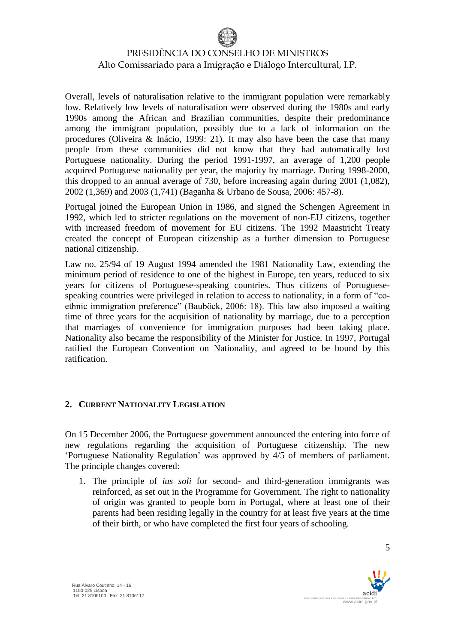Overall, levels of naturalisation relative to the immigrant population were remarkably low. Relatively low levels of naturalisation were observed during the 1980s and early 1990s among the African and Brazilian communities, despite their predominance among the immigrant population, possibly due to a lack of information on the procedures (Oliveira & Inácio, 1999: 21). It may also have been the case that many people from these communities did not know that they had automatically lost Portuguese nationality. During the period 1991-1997, an average of 1,200 people acquired Portuguese nationality per year, the majority by marriage. During 1998-2000, this dropped to an annual average of 730, before increasing again during 2001 (1,082), 2002 (1,369) and 2003 (1,741) (Baganha & Urbano de Sousa, 2006: 457-8).

Portugal joined the European Union in 1986, and signed the Schengen Agreement in 1992, which led to stricter regulations on the movement of non-EU citizens, together with increased freedom of movement for EU citizens. The 1992 Maastricht Treaty created the concept of European citizenship as a further dimension to Portuguese national citizenship.

Law no. 25/94 of 19 August 1994 amended the 1981 Nationality Law, extending the minimum period of residence to one of the highest in Europe, ten years, reduced to six years for citizens of Portuguese-speaking countries. Thus citizens of Portuguesespeaking countries were privileged in relation to access to nationality, in a form of "coethnic immigration preference" (Bauböck, 2006: 18). This law also imposed a waiting time of three years for the acquisition of nationality by marriage, due to a perception that marriages of convenience for immigration purposes had been taking place. Nationality also became the responsibility of the Minister for Justice. In 1997, Portugal ratified the European Convention on Nationality, and agreed to be bound by this ratification.

### **2. CURRENT NATIONALITY LEGISLATION**

On 15 December 2006, the Portuguese government announced the entering into force of new regulations regarding the acquisition of Portuguese citizenship. The new 'Portuguese Nationality Regulation' was approved by 4/5 of members of parliament. The principle changes covered:

1. The principle of *ius soli* for second- and third-generation immigrants was reinforced, as set out in the Programme for Government. The right to nationality of origin was granted to people born in Portugal, where at least one of their parents had been residing legally in the country for at least five years at the time of their birth, or who have completed the first four years of schooling.

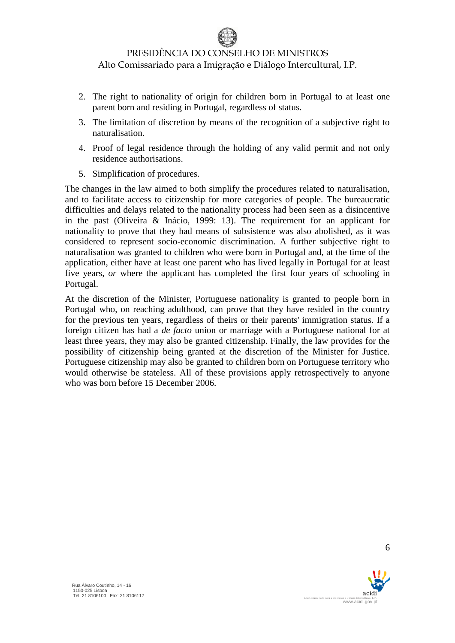- 2. The right to nationality of origin for children born in Portugal to at least one parent born and residing in Portugal, regardless of status.
- 3. The limitation of discretion by means of the recognition of a subjective right to naturalisation.
- 4. Proof of legal residence through the holding of any valid permit and not only residence authorisations.
- 5. Simplification of procedures.

The changes in the law aimed to both simplify the procedures related to naturalisation, and to facilitate access to citizenship for more categories of people. The bureaucratic difficulties and delays related to the nationality process had been seen as a disincentive in the past (Oliveira & Inácio, 1999: 13). The requirement for an applicant for nationality to prove that they had means of subsistence was also abolished, as it was considered to represent socio-economic discrimination. A further subjective right to naturalisation was granted to children who were born in Portugal and, at the time of the application, either have at least one parent who has lived legally in Portugal for at least five years, *or* where the applicant has completed the first four years of schooling in Portugal.

At the discretion of the Minister, Portuguese nationality is granted to people born in Portugal who, on reaching adulthood, can prove that they have resided in the country for the previous ten years, regardless of theirs or their parents' immigration status. If a foreign citizen has had a *de facto* union or marriage with a Portuguese national for at least three years, they may also be granted citizenship. Finally, the law provides for the possibility of citizenship being granted at the discretion of the Minister for Justice. Portuguese citizenship may also be granted to children born on Portuguese territory who would otherwise be stateless. All of these provisions apply retrospectively to anyone who was born before 15 December 2006.

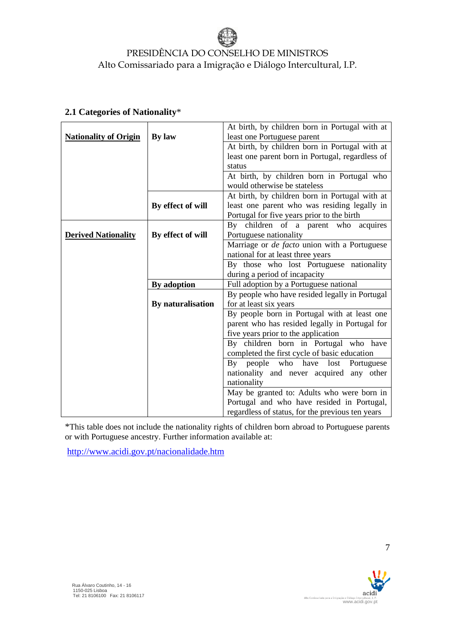|                              |                   | At birth, by children born in Portugal with at   |
|------------------------------|-------------------|--------------------------------------------------|
| <b>Nationality of Origin</b> | By law            | least one Portuguese parent                      |
|                              |                   | At birth, by children born in Portugal with at   |
|                              |                   | least one parent born in Portugal, regardless of |
|                              |                   | status                                           |
|                              |                   | At birth, by children born in Portugal who       |
|                              |                   | would otherwise be stateless                     |
|                              |                   | At birth, by children born in Portugal with at   |
|                              | By effect of will | least one parent who was residing legally in     |
|                              |                   | Portugal for five years prior to the birth       |
|                              |                   | By children of a parent who acquires             |
| <b>Derived Nationality</b>   | By effect of will | Portuguese nationality                           |
|                              |                   | Marriage or de facto union with a Portuguese     |
|                              |                   | national for at least three years                |
|                              |                   | By those who lost Portuguese nationality         |
|                              |                   | during a period of incapacity                    |
|                              | By adoption       | Full adoption by a Portuguese national           |
|                              |                   | By people who have resided legally in Portugal   |
|                              | By naturalisation | for at least six years                           |
|                              |                   | By people born in Portugal with at least one     |
|                              |                   | parent who has resided legally in Portugal for   |
|                              |                   | five years prior to the application              |
|                              |                   | By children born in Portugal who have            |
|                              |                   | completed the first cycle of basic education     |
|                              |                   | By people who have<br>lost Portuguese            |
|                              |                   | nationality and never acquired any other         |
|                              |                   | nationality                                      |
|                              |                   | May be granted to: Adults who were born in       |
|                              |                   | Portugal and who have resided in Portugal,       |
|                              |                   | regardless of status, for the previous ten years |

### **2.1 Categories of Nationality**\*

\*This table does not include the nationality rights of children born abroad to Portuguese parents or with Portuguese ancestry. Further information available at:

<http://www.acidi.gov.pt/nacionalidade.htm>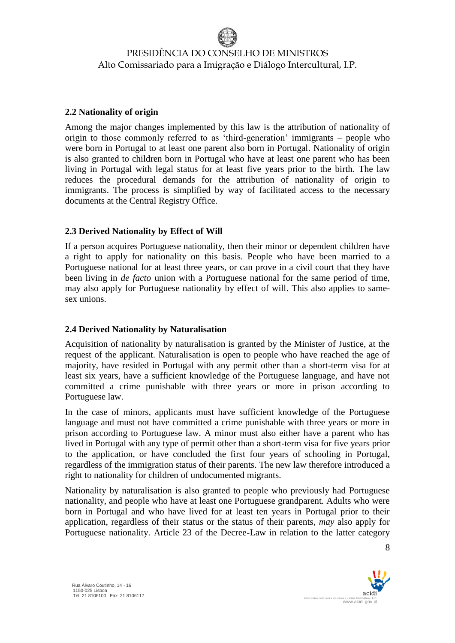#### **2.2 Nationality of origin**

Among the major changes implemented by this law is the attribution of nationality of origin to those commonly referred to as 'third-generation' immigrants – people who were born in Portugal to at least one parent also born in Portugal. Nationality of origin is also granted to children born in Portugal who have at least one parent who has been living in Portugal with legal status for at least five years prior to the birth. The law reduces the procedural demands for the attribution of nationality of origin to immigrants. The process is simplified by way of facilitated access to the necessary documents at the Central Registry Office.

#### **2.3 Derived Nationality by Effect of Will**

If a person acquires Portuguese nationality, then their minor or dependent children have a right to apply for nationality on this basis. People who have been married to a Portuguese national for at least three years, or can prove in a civil court that they have been living in *de facto* union with a Portuguese national for the same period of time, may also apply for Portuguese nationality by effect of will. This also applies to samesex unions.

#### **2.4 Derived Nationality by Naturalisation**

Acquisition of nationality by naturalisation is granted by the Minister of Justice, at the request of the applicant. Naturalisation is open to people who have reached the age of majority, have resided in Portugal with any permit other than a short-term visa for at least six years, have a sufficient knowledge of the Portuguese language, and have not committed a crime punishable with three years or more in prison according to Portuguese law.

In the case of minors, applicants must have sufficient knowledge of the Portuguese language and must not have committed a crime punishable with three years or more in prison according to Portuguese law. A minor must also either have a parent who has lived in Portugal with any type of permit other than a short-term visa for five years prior to the application, or have concluded the first four years of schooling in Portugal, regardless of the immigration status of their parents. The new law therefore introduced a right to nationality for children of undocumented migrants.

Nationality by naturalisation is also granted to people who previously had Portuguese nationality, and people who have at least one Portuguese grandparent. Adults who were born in Portugal and who have lived for at least ten years in Portugal prior to their application, regardless of their status or the status of their parents, *may* also apply for Portuguese nationality. Article 23 of the Decree-Law in relation to the latter category

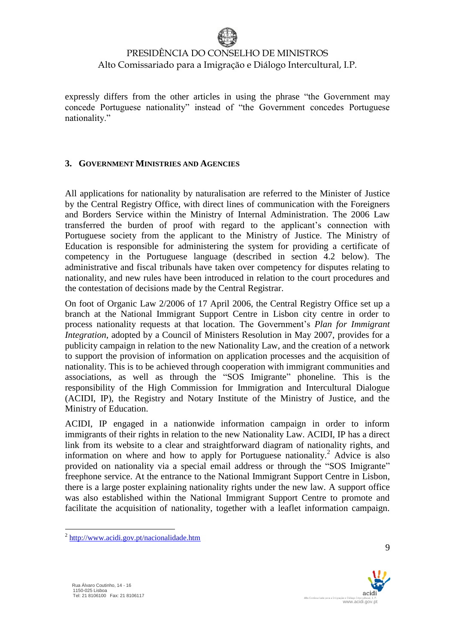

expressly differs from the other articles in using the phrase "the Government may concede Portuguese nationality" instead of "the Government concedes Portuguese nationality."

#### **3. GOVERNMENT MINISTRIES AND AGENCIES**

All applications for nationality by naturalisation are referred to the Minister of Justice by the Central Registry Office, with direct lines of communication with the Foreigners and Borders Service within the Ministry of Internal Administration. The 2006 Law transferred the burden of proof with regard to the applicant's connection with Portuguese society from the applicant to the Ministry of Justice. The Ministry of Education is responsible for administering the system for providing a certificate of competency in the Portuguese language (described in section 4.2 below). The administrative and fiscal tribunals have taken over competency for disputes relating to nationality, and new rules have been introduced in relation to the court procedures and the contestation of decisions made by the Central Registrar.

On foot of Organic Law 2/2006 of 17 April 2006, the Central Registry Office set up a branch at the National Immigrant Support Centre in Lisbon city centre in order to process nationality requests at that location. The Government's *Plan for Immigrant Integration*, adopted by a Council of Ministers Resolution in May 2007, provides for a publicity campaign in relation to the new Nationality Law, and the creation of a network to support the provision of information on application processes and the acquisition of nationality. This is to be achieved through cooperation with immigrant communities and associations, as well as through the "SOS Imigrante" phoneline. This is the responsibility of the High Commission for Immigration and Intercultural Dialogue (ACIDI, IP), the Registry and Notary Institute of the Ministry of Justice, and the Ministry of Education.

ACIDI, IP engaged in a nationwide information campaign in order to inform immigrants of their rights in relation to the new Nationality Law. ACIDI, IP has a direct link from its website to a clear and straightforward diagram of nationality rights, and information on where and how to apply for Portuguese nationality.<sup>2</sup> Advice is also provided on nationality via a special email address or through the "SOS Imigrante" freephone service. At the entrance to the National Immigrant Support Centre in Lisbon, there is a large poster explaining nationality rights under the new law. A support office was also established within the National Immigrant Support Centre to promote and facilitate the acquisition of nationality, together with a leaflet information campaign.



<sup>&</sup>lt;sup>2</sup> <http://www.acidi.gov.pt/nacionalidade.htm>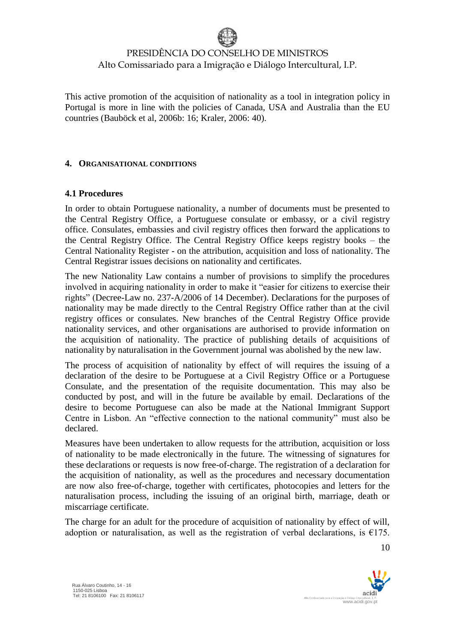This active promotion of the acquisition of nationality as a tool in integration policy in Portugal is more in line with the policies of Canada, USA and Australia than the EU countries (Bauböck et al, 2006b: 16; Kraler, 2006: 40).

#### **4. ORGANISATIONAL CONDITIONS**

#### **4.1 Procedures**

In order to obtain Portuguese nationality, a number of documents must be presented to the Central Registry Office, a Portuguese consulate or embassy, or a civil registry office. Consulates, embassies and civil registry offices then forward the applications to the Central Registry Office. The Central Registry Office keeps registry books – the Central Nationality Register - on the attribution, acquisition and loss of nationality. The Central Registrar issues decisions on nationality and certificates.

The new Nationality Law contains a number of provisions to simplify the procedures involved in acquiring nationality in order to make it "easier for citizens to exercise their rights" (Decree-Law no. 237-A/2006 of 14 December). Declarations for the purposes of nationality may be made directly to the Central Registry Office rather than at the civil registry offices or consulates. New branches of the Central Registry Office provide nationality services, and other organisations are authorised to provide information on the acquisition of nationality. The practice of publishing details of acquisitions of nationality by naturalisation in the Government journal was abolished by the new law.

The process of acquisition of nationality by effect of will requires the issuing of a declaration of the desire to be Portuguese at a Civil Registry Office or a Portuguese Consulate, and the presentation of the requisite documentation. This may also be conducted by post, and will in the future be available by email. Declarations of the desire to become Portuguese can also be made at the National Immigrant Support Centre in Lisbon. An "effective connection to the national community" must also be declared.

Measures have been undertaken to allow requests for the attribution, acquisition or loss of nationality to be made electronically in the future. The witnessing of signatures for these declarations or requests is now free-of-charge. The registration of a declaration for the acquisition of nationality, as well as the procedures and necessary documentation are now also free-of-charge, together with certificates, photocopies and letters for the naturalisation process, including the issuing of an original birth, marriage, death or miscarriage certificate.

The charge for an adult for the procedure of acquisition of nationality by effect of will, adoption or naturalisation, as well as the registration of verbal declarations, is  $\epsilon$ 175.

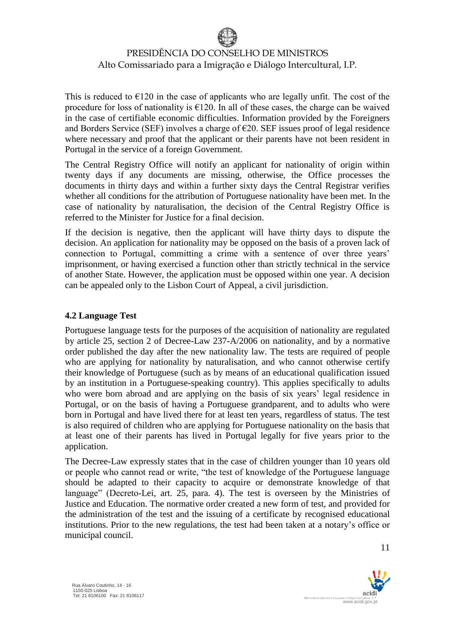This is reduced to  $\epsilon$ 120 in the case of applicants who are legally unfit. The cost of the procedure for loss of nationality is  $\epsilon$ 120. In all of these cases, the charge can be waived in the case of certifiable economic difficulties. Information provided by the Foreigners and Borders Service (SEF) involves a charge of  $\epsilon$ 20. SEF issues proof of legal residence where necessary and proof that the applicant or their parents have not been resident in Portugal in the service of a foreign Government.

The Central Registry Office will notify an applicant for nationality of origin within twenty days if any documents are missing, otherwise, the Office processes the documents in thirty days and within a further sixty days the Central Registrar verifies whether all conditions for the attribution of Portuguese nationality have been met. In the case of nationality by naturalisation, the decision of the Central Registry Office is referred to the Minister for Justice for a final decision.

If the decision is negative, then the applicant will have thirty days to dispute the decision. An application for nationality may be opposed on the basis of a proven lack of connection to Portugal, committing a crime with a sentence of over three years' imprisonment, or having exercised a function other than strictly technical in the service of another State. However, the application must be opposed within one year. A decision can be appealed only to the Lisbon Court of Appeal, a civil jurisdiction.

#### **4.2 Language Test**

Portuguese language tests for the purposes of the acquisition of nationality are regulated by article 25, section 2 of Decree-Law 237-A/2006 on nationality, and by a normative order published the day after the new nationality law. The tests are required of people who are applying for nationality by naturalisation, and who cannot otherwise certify their knowledge of Portuguese (such as by means of an educational qualification issued by an institution in a Portuguese-speaking country). This applies specifically to adults who were born abroad and are applying on the basis of six years' legal residence in Portugal, or on the basis of having a Portuguese grandparent, and to adults who were born in Portugal and have lived there for at least ten years, regardless of status. The test is also required of children who are applying for Portuguese nationality on the basis that at least one of their parents has lived in Portugal legally for five years prior to the application.

The Decree-Law expressly states that in the case of children younger than 10 years old or people who cannot read or write, "the test of knowledge of the Portuguese language should be adapted to their capacity to acquire or demonstrate knowledge of that language" (Decreto-Lei, art. 25, para. 4). The test is overseen by the Ministries of Justice and Education. The normative order created a new form of test, and provided for the administration of the test and the issuing of a certificate by recognised educational institutions. Prior to the new regulations, the test had been taken at a notary's office or municipal council.

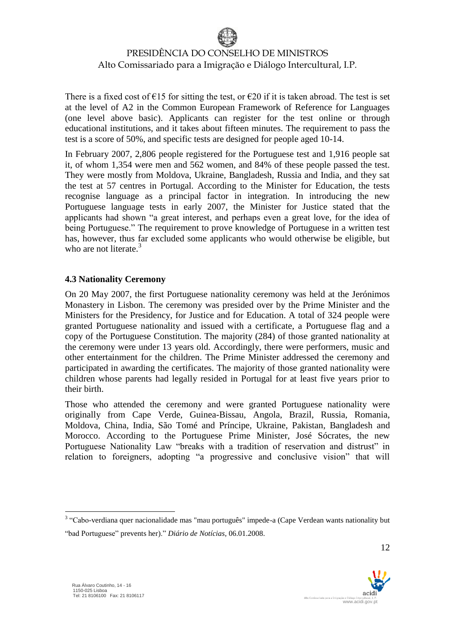There is a fixed cost of  $\epsilon$ 15 for sitting the test, or  $\epsilon$ 20 if it is taken abroad. The test is set at the level of A2 in the Common European Framework of Reference for Languages (one level above basic). Applicants can register for the test online or through educational institutions, and it takes about fifteen minutes. The requirement to pass the test is a score of 50%, and specific tests are designed for people aged 10-14.

In February 2007, 2,806 people registered for the Portuguese test and 1,916 people sat it, of whom 1,354 were men and 562 women, and 84% of these people passed the test. They were mostly from Moldova, Ukraine, Bangladesh, Russia and India, and they sat the test at 57 centres in Portugal. According to the Minister for Education, the tests recognise language as a principal factor in integration. In introducing the new Portuguese language tests in early 2007, the Minister for Justice stated that the applicants had shown "a great interest, and perhaps even a great love, for the idea of being Portuguese." The requirement to prove knowledge of Portuguese in a written test has, however, thus far excluded some applicants who would otherwise be eligible, but who are not literate. $3$ 

#### **4.3 Nationality Ceremony**

On 20 May 2007, the first Portuguese nationality ceremony was held at the Jerónimos Monastery in Lisbon. The ceremony was presided over by the Prime Minister and the Ministers for the Presidency, for Justice and for Education. A total of 324 people were granted Portuguese nationality and issued with a certificate, a Portuguese flag and a copy of the Portuguese Constitution. The majority (284) of those granted nationality at the ceremony were under 13 years old. Accordingly, there were performers, music and other entertainment for the children. The Prime Minister addressed the ceremony and participated in awarding the certificates. The majority of those granted nationality were children whose parents had legally resided in Portugal for at least five years prior to their birth.

Those who attended the ceremony and were granted Portuguese nationality were originally from Cape Verde, Guinea-Bissau, Angola, Brazil, Russia, Romania, Moldova, China, India, São Tomé and Príncipe, Ukraine, Pakistan, Bangladesh and Morocco. According to the Portuguese Prime Minister, José Sócrates, the new Portuguese Nationality Law "breaks with a tradition of reservation and distrust" in relation to foreigners, adopting "a progressive and conclusive vision" that will

<u>.</u>



<sup>&</sup>lt;sup>3</sup> "Cabo-verdiana quer nacionalidade mas "mau português" impede-a (Cape Verdean wants nationality but "bad Portuguese" prevents her)." *Diário de Notícias*, 06.01.2008.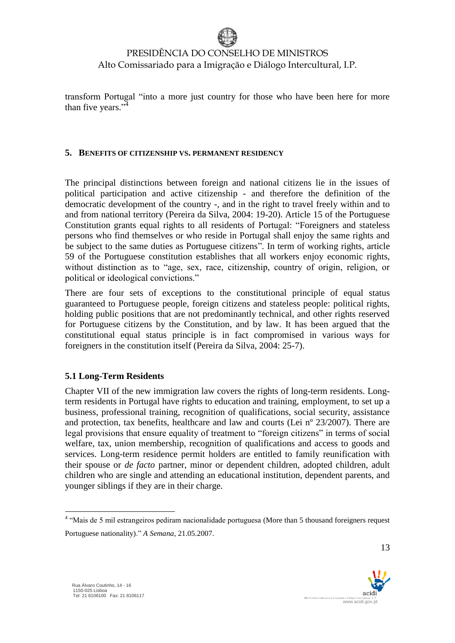transform Portugal "into a more just country for those who have been here for more than five years."<sup>4</sup>

#### **5. BENEFITS OF CITIZENSHIP VS. PERMANENT RESIDENCY**

The principal distinctions between foreign and national citizens lie in the issues of political participation and active citizenship - and therefore the definition of the democratic development of the country -, and in the right to travel freely within and to and from national territory (Pereira da Silva, 2004: 19-20). Article 15 of the Portuguese Constitution grants equal rights to all residents of Portugal: "Foreigners and stateless persons who find themselves or who reside in Portugal shall enjoy the same rights and be subject to the same duties as Portuguese citizens". In term of working rights, article 59 of the Portuguese constitution establishes that all workers enjoy economic rights, without distinction as to "age, sex, race, citizenship, country of origin, religion, or political or ideological convictions."

There are four sets of exceptions to the constitutional principle of equal status guaranteed to Portuguese people, foreign citizens and stateless people: political rights, holding public positions that are not predominantly technical, and other rights reserved for Portuguese citizens by the Constitution, and by law. It has been argued that the constitutional equal status principle is in fact compromised in various ways for foreigners in the constitution itself (Pereira da Silva, 2004: 25-7).

### **5.1 Long-Term Residents**

Chapter VII of the new immigration law covers the rights of long-term residents. Longterm residents in Portugal have rights to education and training, employment, to set up a business, professional training, recognition of qualifications, social security, assistance and protection, tax benefits, healthcare and law and courts (Lei nº 23/2007). There are legal provisions that ensure equality of treatment to "foreign citizens" in terms of social welfare, tax, union membership, recognition of qualifications and access to goods and services. Long-term residence permit holders are entitled to family reunification with their spouse or *de facto* partner, minor or dependent children, adopted children, adult children who are single and attending an educational institution, dependent parents, and younger siblings if they are in their charge.

<u>.</u>



<sup>&</sup>lt;sup>4</sup> "Mais de 5 mil estrangeiros pediram nacionalidade portuguesa (More than 5 thousand foreigners request Portuguese nationality)." *A Semana*, 21.05.2007.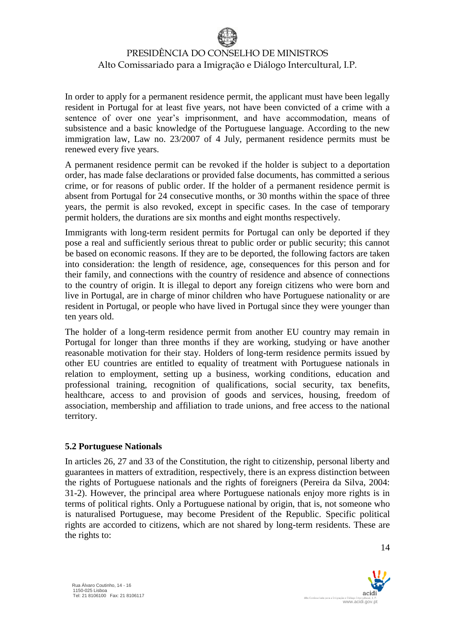In order to apply for a permanent residence permit, the applicant must have been legally resident in Portugal for at least five years, not have been convicted of a crime with a sentence of over one year's imprisonment, and have accommodation, means of subsistence and a basic knowledge of the Portuguese language. According to the new immigration law, Law no. 23/2007 of 4 July, permanent residence permits must be renewed every five years.

A permanent residence permit can be revoked if the holder is subject to a deportation order, has made false declarations or provided false documents, has committed a serious crime, or for reasons of public order. If the holder of a permanent residence permit is absent from Portugal for 24 consecutive months, or 30 months within the space of three years, the permit is also revoked, except in specific cases. In the case of temporary permit holders, the durations are six months and eight months respectively.

Immigrants with long-term resident permits for Portugal can only be deported if they pose a real and sufficiently serious threat to public order or public security; this cannot be based on economic reasons. If they are to be deported, the following factors are taken into consideration: the length of residence, age, consequences for this person and for their family, and connections with the country of residence and absence of connections to the country of origin. It is illegal to deport any foreign citizens who were born and live in Portugal, are in charge of minor children who have Portuguese nationality or are resident in Portugal, or people who have lived in Portugal since they were younger than ten years old.

The holder of a long-term residence permit from another EU country may remain in Portugal for longer than three months if they are working, studying or have another reasonable motivation for their stay. Holders of long-term residence permits issued by other EU countries are entitled to equality of treatment with Portuguese nationals in relation to employment, setting up a business, working conditions, education and professional training, recognition of qualifications, social security, tax benefits, healthcare, access to and provision of goods and services, housing, freedom of association, membership and affiliation to trade unions, and free access to the national territory.

### **5.2 Portuguese Nationals**

In articles 26, 27 and 33 of the Constitution, the right to citizenship, personal liberty and guarantees in matters of extradition, respectively, there is an express distinction between the rights of Portuguese nationals and the rights of foreigners (Pereira da Silva, 2004: 31-2). However, the principal area where Portuguese nationals enjoy more rights is in terms of political rights. Only a Portuguese national by origin, that is, not someone who is naturalised Portuguese, may become President of the Republic. Specific political rights are accorded to citizens, which are not shared by long-term residents. These are the rights to:

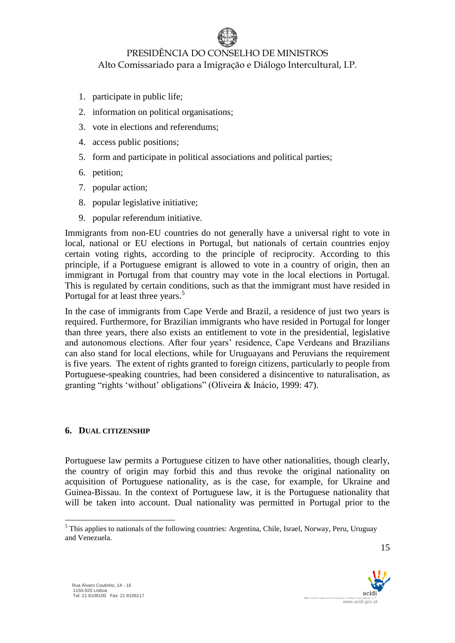- 1. participate in public life;
- 2. information on political organisations;
- 3. vote in elections and referendums;
- 4. access public positions;
- 5. form and participate in political associations and political parties;
- 6. petition;
- 7. popular action;
- 8. popular legislative initiative;
- 9. popular referendum initiative.

Immigrants from non-EU countries do not generally have a universal right to vote in local, national or EU elections in Portugal, but nationals of certain countries enjoy certain voting rights, according to the principle of reciprocity. According to this principle, if a Portuguese emigrant is allowed to vote in a country of origin, then an immigrant in Portugal from that country may vote in the local elections in Portugal. This is regulated by certain conditions, such as that the immigrant must have resided in Portugal for at least three years.<sup>5</sup>

In the case of immigrants from Cape Verde and Brazil, a residence of just two years is required. Furthermore, for Brazilian immigrants who have resided in Portugal for longer than three years, there also exists an entitlement to vote in the presidential, legislative and autonomous elections. After four years' residence, Cape Verdeans and Brazilians can also stand for local elections, while for Uruguayans and Peruvians the requirement is five years. The extent of rights granted to foreign citizens, particularly to people from Portuguese-speaking countries, had been considered a disincentive to naturalisation, as granting "rights 'without' obligations" (Oliveira & Inácio, 1999: 47).

### **6. DUAL CITIZENSHIP**

Portuguese law permits a Portuguese citizen to have other nationalities, though clearly, the country of origin may forbid this and thus revoke the original nationality on acquisition of Portuguese nationality, as is the case, for example, for Ukraine and Guinea-Bissau. In the context of Portuguese law, it is the Portuguese nationality that will be taken into account. Dual nationality was permitted in Portugal prior to the

15

www.acidi.gov.p

<sup>&</sup>lt;sup>5</sup> This applies to nationals of the following countries: Argentina, Chile, Israel, Norway, Peru, Uruguay and Venezuela.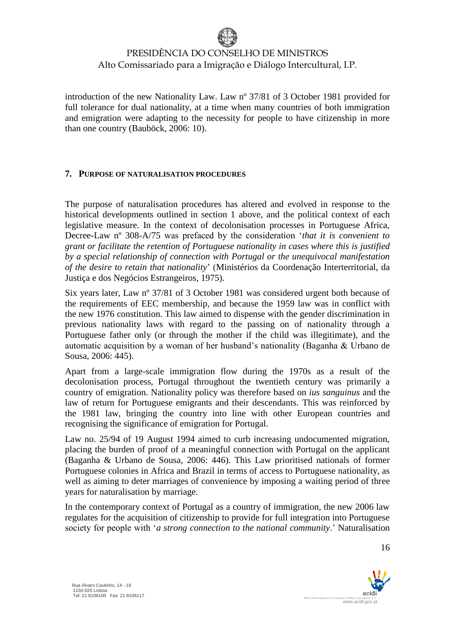introduction of the new Nationality Law. Law nº 37/81 of 3 October 1981 provided for full tolerance for dual nationality, at a time when many countries of both immigration and emigration were adapting to the necessity for people to have citizenship in more than one country (Bauböck, 2006: 10).

#### **7. PURPOSE OF NATURALISATION PROCEDURES**

The purpose of naturalisation procedures has altered and evolved in response to the historical developments outlined in section 1 above, and the political context of each legislative measure. In the context of decolonisation processes in Portuguese Africa, Decree-Law nº 308-A/75 was prefaced by the consideration '*that it is convenient to grant or facilitate the retention of Portuguese nationality in cases where this is justified by a special relationship of connection with Portugal or the unequivocal manifestation of the desire to retain that nationality*' (Ministérios da Coordenação Interterritorial, da Justiça e dos Negócios Estrangeiros, 1975).

Six years later, Law nº 37/81 of 3 October 1981 was considered urgent both because of the requirements of EEC membership, and because the 1959 law was in conflict with the new 1976 constitution. This law aimed to dispense with the gender discrimination in previous nationality laws with regard to the passing on of nationality through a Portuguese father only (or through the mother if the child was illegitimate), and the automatic acquisition by a woman of her husband's nationality (Baganha & Urbano de Sousa, 2006: 445).

Apart from a large-scale immigration flow during the 1970s as a result of the decolonisation process, Portugal throughout the twentieth century was primarily a country of emigration. Nationality policy was therefore based on *ius sanguinus* and the law of return for Portuguese emigrants and their descendants. This was reinforced by the 1981 law, bringing the country into line with other European countries and recognising the significance of emigration for Portugal.

Law no. 25/94 of 19 August 1994 aimed to curb increasing undocumented migration, placing the burden of proof of a meaningful connection with Portugal on the applicant (Baganha & Urbano de Sousa, 2006: 446). This Law prioritised nationals of former Portuguese colonies in Africa and Brazil in terms of access to Portuguese nationality, as well as aiming to deter marriages of convenience by imposing a waiting period of three years for naturalisation by marriage.

In the contemporary context of Portugal as a country of immigration, the new 2006 law regulates for the acquisition of citizenship to provide for full integration into Portuguese society for people with '*a strong connection to the national community*.' Naturalisation

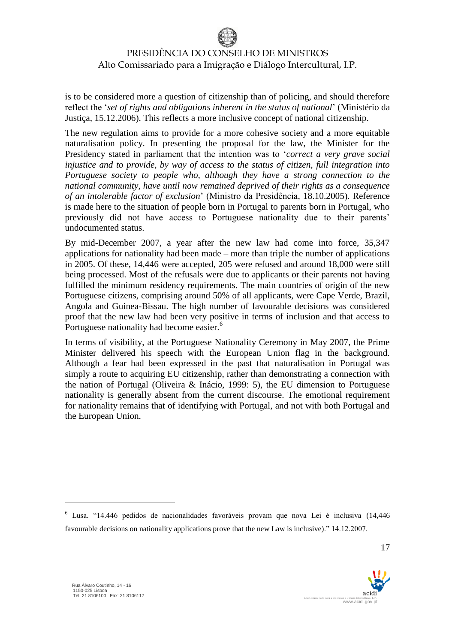is to be considered more a question of citizenship than of policing, and should therefore reflect the '*set of rights and obligations inherent in the status of national*' (Ministério da Justiça, 15.12.2006). This reflects a more inclusive concept of national citizenship.

The new regulation aims to provide for a more cohesive society and a more equitable naturalisation policy. In presenting the proposal for the law, the Minister for the Presidency stated in parliament that the intention was to '*correct a very grave social injustice and to provide, by way of access to the status of citizen, full integration into Portuguese society to people who, although they have a strong connection to the national community, have until now remained deprived of their rights as a consequence of an intolerable factor of exclusion*' (Ministro da Presidência, 18.10.2005). Reference is made here to the situation of people born in Portugal to parents born in Portugal, who previously did not have access to Portuguese nationality due to their parents' undocumented status.

By mid-December 2007, a year after the new law had come into force, 35,347 applications for nationality had been made – more than triple the number of applications in 2005. Of these, 14,446 were accepted, 205 were refused and around 18,000 were still being processed. Most of the refusals were due to applicants or their parents not having fulfilled the minimum residency requirements. The main countries of origin of the new Portuguese citizens, comprising around 50% of all applicants, were Cape Verde, Brazil, Angola and Guinea-Bissau. The high number of favourable decisions was considered proof that the new law had been very positive in terms of inclusion and that access to Portuguese nationality had become easier.<sup>6</sup>

In terms of visibility, at the Portuguese Nationality Ceremony in May 2007, the Prime Minister delivered his speech with the European Union flag in the background. Although a fear had been expressed in the past that naturalisation in Portugal was simply a route to acquiring EU citizenship, rather than demonstrating a connection with the nation of Portugal (Oliveira & Inácio, 1999: 5), the EU dimension to Portuguese nationality is generally absent from the current discourse. The emotional requirement for nationality remains that of identifying with Portugal, and not with both Portugal and the European Union.

<u>.</u>



<sup>6</sup> Lusa. "14.446 pedidos de nacionalidades favoráveis provam que nova Lei é inclusiva (14,446 favourable decisions on nationality applications prove that the new Law is inclusive)." 14.12.2007.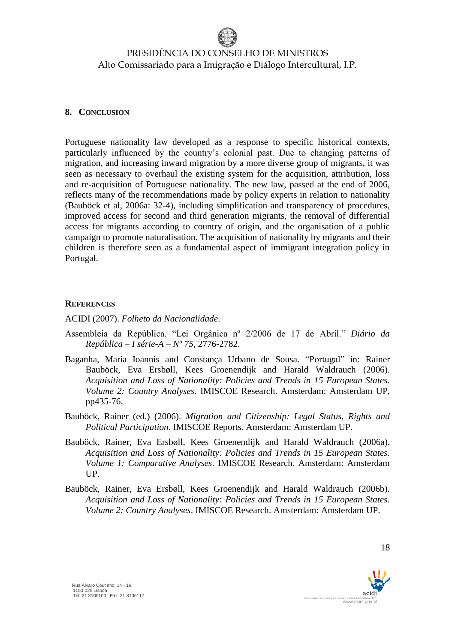#### **8. CONCLUSION**

Portuguese nationality law developed as a response to specific historical contexts, particularly influenced by the country's colonial past. Due to changing patterns of migration, and increasing inward migration by a more diverse group of migrants, it was seen as necessary to overhaul the existing system for the acquisition, attribution, loss and re-acquisition of Portuguese nationality. The new law, passed at the end of 2006, reflects many of the recommendations made by policy experts in relation to nationality (Bauböck et al, 2006a: 32-4), including simplification and transparency of procedures, improved access for second and third generation migrants, the removal of differential access for migrants according to country of origin, and the organisation of a public campaign to promote naturalisation. The acquisition of nationality by migrants and their children is therefore seen as a fundamental aspect of immigrant integration policy in Portugal.

#### **REFERENCES**

ACIDI (2007). *Folheto da Nacionalidade*.

- Assembleia da República. "Lei Orgânica nº 2/2006 de 17 de Abril." *Diário da República – I série-A – Nº 75*, 2776-2782.
- Baganha, Maria Ioannis and Constança Urbano de Sousa. "Portugal" in: Rainer Bauböck, Eva Ersbøll, Kees Groenendijk and Harald Waldrauch (2006). *Acquisition and Loss of Nationality: Policies and Trends in 15 European States. Volume 2: Country Analyses*. IMISCOE Research. Amsterdam: Amsterdam UP, pp435-76.
- Bauböck, Rainer (ed.) (2006). *Migration and Citizenship: Legal Status, Rights and Political Participation*. IMISCOE Reports. Amsterdam: Amsterdam UP.
- Bauböck, Rainer, Eva Ersbøll, Kees Groenendijk and Harald Waldrauch (2006a). *Acquisition and Loss of Nationality: Policies and Trends in 15 European States. Volume 1: Comparative Analyses*. IMISCOE Research. Amsterdam: Amsterdam UP.
- Bauböck, Rainer, Eva Ersbøll, Kees Groenendijk and Harald Waldrauch (2006b). *Acquisition and Loss of Nationality: Policies and Trends in 15 European States. Volume 2: Country Analyses*. IMISCOE Research. Amsterdam: Amsterdam UP.